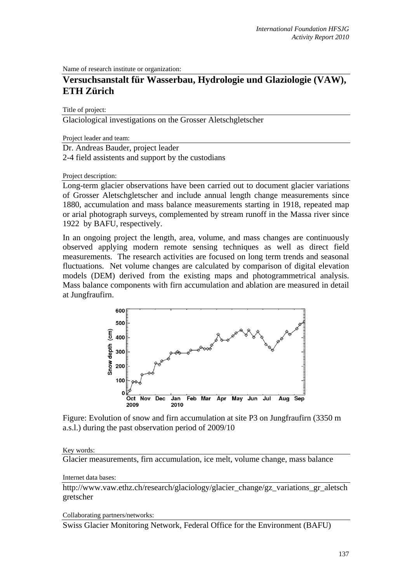Name of research institute or organization:

# **Versuchsanstalt für Wasserbau, Hydrologie und Glaziologie (VAW), ETH Zürich**

Title of project:

Glaciological investigations on the Grosser Aletschgletscher

Project leader and team:

Dr. Andreas Bauder, project leader

2-4 field assistents and support by the custodians

Project description:

Long-term glacier observations have been carried out to document glacier variations of Grosser Aletschgletscher and include annual length change measurements since 1880, accumulation and mass balance measurements starting in 1918, repeated map or arial photograph surveys, complemented by stream runoff in the Massa river since 1922 by BAFU, respectively.

In an ongoing project the length, area, volume, and mass changes are continuously observed applying modern remote sensing techniques as well as direct field measurements. The research activities are focused on long term trends and seasonal fluctuations. Net volume changes are calculated by comparison of digital elevation models (DEM) derived from the existing maps and photogrammetrical analysis. Mass balance components with firn accumulation and ablation are measured in detail at Jungfraufirn.



Figure: Evolution of snow and firn accumulation at site P3 on Jungfraufirn (3350 m a.s.l.) during the past observation period of 2009/10

### Key words:

Glacier measurements, firn accumulation, ice melt, volume change, mass balance

#### Internet data bases:

http://www.vaw.ethz.ch/research/glaciology/glacier\_change/gz\_variations\_gr\_aletsch gretscher

Collaborating partners/networks:

Swiss Glacier Monitoring Network, Federal Office for the Environment (BAFU)